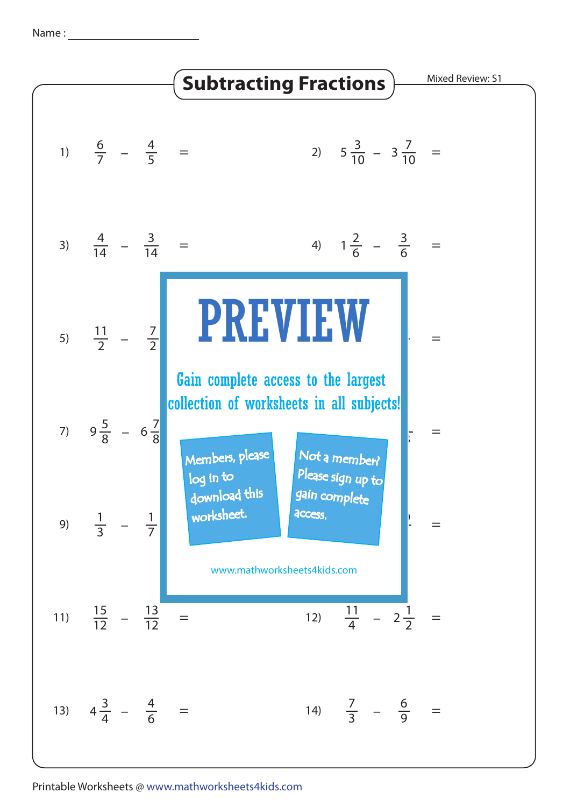